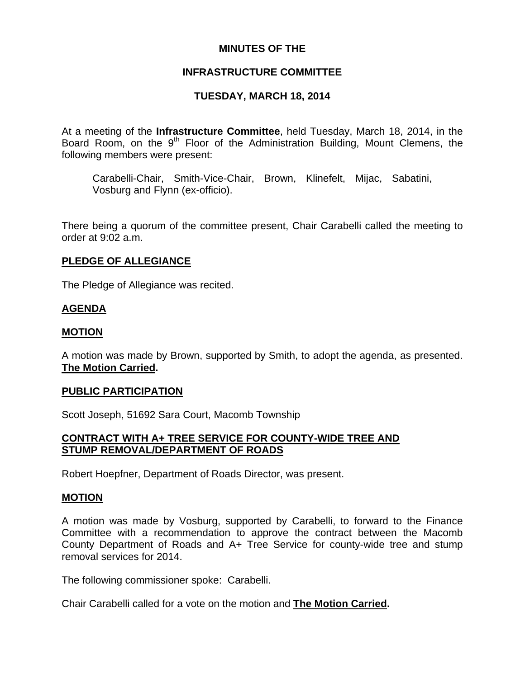## **MINUTES OF THE**

## **INFRASTRUCTURE COMMITTEE**

# **TUESDAY, MARCH 18, 2014**

At a meeting of the **Infrastructure Committee**, held Tuesday, March 18, 2014, in the Board Room, on the 9<sup>th</sup> Floor of the Administration Building, Mount Clemens, the following members were present:

Carabelli-Chair, Smith-Vice-Chair, Brown, Klinefelt, Mijac, Sabatini, Vosburg and Flynn (ex-officio).

There being a quorum of the committee present, Chair Carabelli called the meeting to order at 9:02 a.m.

## **PLEDGE OF ALLEGIANCE**

The Pledge of Allegiance was recited.

### **AGENDA**

### **MOTION**

A motion was made by Brown, supported by Smith, to adopt the agenda, as presented. **The Motion Carried.** 

#### **PUBLIC PARTICIPATION**

Scott Joseph, 51692 Sara Court, Macomb Township

### **CONTRACT WITH A+ TREE SERVICE FOR COUNTY-WIDE TREE AND STUMP REMOVAL/DEPARTMENT OF ROADS**

Robert Hoepfner, Department of Roads Director, was present.

#### **MOTION**

A motion was made by Vosburg, supported by Carabelli, to forward to the Finance Committee with a recommendation to approve the contract between the Macomb County Department of Roads and A+ Tree Service for county-wide tree and stump removal services for 2014.

The following commissioner spoke: Carabelli.

Chair Carabelli called for a vote on the motion and **The Motion Carried.**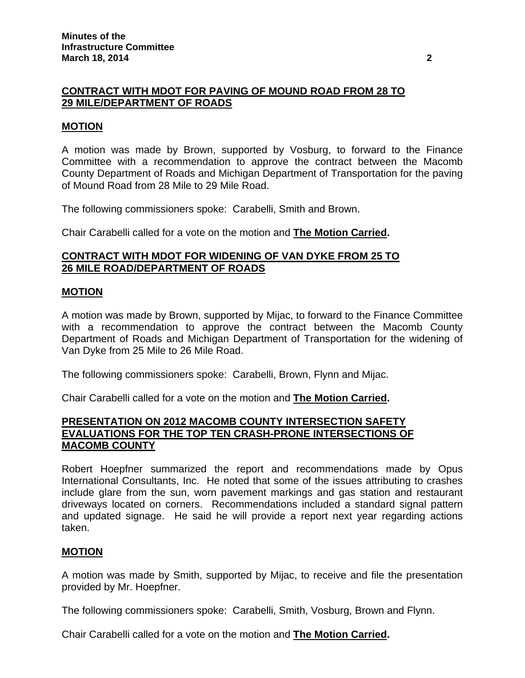## **CONTRACT WITH MDOT FOR PAVING OF MOUND ROAD FROM 28 TO 29 MILE/DEPARTMENT OF ROADS**

### **MOTION**

A motion was made by Brown, supported by Vosburg, to forward to the Finance Committee with a recommendation to approve the contract between the Macomb County Department of Roads and Michigan Department of Transportation for the paving of Mound Road from 28 Mile to 29 Mile Road.

The following commissioners spoke: Carabelli, Smith and Brown.

Chair Carabelli called for a vote on the motion and **The Motion Carried.** 

### **CONTRACT WITH MDOT FOR WIDENING OF VAN DYKE FROM 25 TO 26 MILE ROAD/DEPARTMENT OF ROADS**

#### **MOTION**

A motion was made by Brown, supported by Mijac, to forward to the Finance Committee with a recommendation to approve the contract between the Macomb County Department of Roads and Michigan Department of Transportation for the widening of Van Dyke from 25 Mile to 26 Mile Road.

The following commissioners spoke: Carabelli, Brown, Flynn and Mijac.

Chair Carabelli called for a vote on the motion and **The Motion Carried.** 

#### **PRESENTATION ON 2012 MACOMB COUNTY INTERSECTION SAFETY EVALUATIONS FOR THE TOP TEN CRASH-PRONE INTERSECTIONS OF MACOMB COUNTY**

Robert Hoepfner summarized the report and recommendations made by Opus International Consultants, Inc. He noted that some of the issues attributing to crashes include glare from the sun, worn pavement markings and gas station and restaurant driveways located on corners. Recommendations included a standard signal pattern and updated signage. He said he will provide a report next year regarding actions taken.

#### **MOTION**

A motion was made by Smith, supported by Mijac, to receive and file the presentation provided by Mr. Hoepfner.

The following commissioners spoke: Carabelli, Smith, Vosburg, Brown and Flynn.

Chair Carabelli called for a vote on the motion and **The Motion Carried.**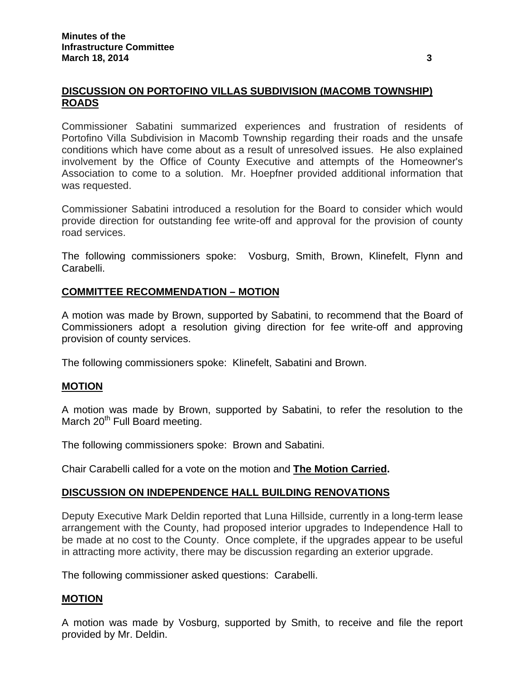## **DISCUSSION ON PORTOFINO VILLAS SUBDIVISION (MACOMB TOWNSHIP) ROADS**

Commissioner Sabatini summarized experiences and frustration of residents of Portofino Villa Subdivision in Macomb Township regarding their roads and the unsafe conditions which have come about as a result of unresolved issues. He also explained involvement by the Office of County Executive and attempts of the Homeowner's Association to come to a solution. Mr. Hoepfner provided additional information that was requested.

Commissioner Sabatini introduced a resolution for the Board to consider which would provide direction for outstanding fee write-off and approval for the provision of county road services.

The following commissioners spoke: Vosburg, Smith, Brown, Klinefelt, Flynn and Carabelli.

## **COMMITTEE RECOMMENDATION – MOTION**

A motion was made by Brown, supported by Sabatini, to recommend that the Board of Commissioners adopt a resolution giving direction for fee write-off and approving provision of county services.

The following commissioners spoke: Klinefelt, Sabatini and Brown.

## **MOTION**

A motion was made by Brown, supported by Sabatini, to refer the resolution to the March 20<sup>th</sup> Full Board meeting.

The following commissioners spoke: Brown and Sabatini.

Chair Carabelli called for a vote on the motion and **The Motion Carried.** 

#### **DISCUSSION ON INDEPENDENCE HALL BUILDING RENOVATIONS**

Deputy Executive Mark Deldin reported that Luna Hillside, currently in a long-term lease arrangement with the County, had proposed interior upgrades to Independence Hall to be made at no cost to the County. Once complete, if the upgrades appear to be useful in attracting more activity, there may be discussion regarding an exterior upgrade.

The following commissioner asked questions: Carabelli.

#### **MOTION**

A motion was made by Vosburg, supported by Smith, to receive and file the report provided by Mr. Deldin.